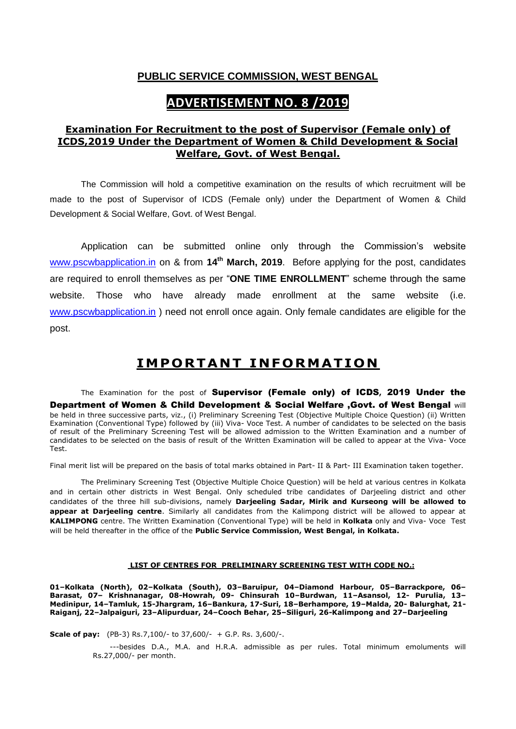## **PUBLIC SERVICE COMMISSION, WEST BENGAL**

# **ADVERTISEMENT NO. 8 /2019**

## **Examination For Recruitment to the post of Supervisor (Female only) of ICDS,2019 Under the Department of Women & Child Development & Social Welfare, Govt. of West Bengal.**

The Commission will hold a competitive examination on the results of which recruitment will be made to the post of Supervisor of ICDS (Female only) under the Department of Women & Child Development & Social Welfare, Govt. of West Bengal.

Application can be submitted online only through the Commission's website [www.pscwbapplication.in](http://www.pscwbapplication.in/) on & from **14th March, 2019**. Before applying for the post, candidates are required to enroll themselves as per "**ONE TIME ENROLLMENT**" scheme through the same website. Those who have already made enrollment at the same website (i.e. [www.pscwbapplication.in](http://www.pscwbapplication.in/) ) need not enroll once again. Only female candidates are eligible for the post.

# **IM PO RT ANT IN FO RM AT ION**

The Examination for the post of Supervisor (Female only) of ICDS**,** 2019 Under the Department of Women & Child Development & Social Welfare ,Govt. of West Bengal will be held in three successive parts, viz., (i) Preliminary Screening Test (Objective Multiple Choice Question) (ii) Written Examination (Conventional Type) followed by (iii) Viva- Voce Test. A number of candidates to be selected on the basis of result of the Preliminary Screening Test will be allowed admission to the Written Examination and a number of candidates to be selected on the basis of result of the Written Examination will be called to appear at the Viva- Voce Test.

Final merit list will be prepared on the basis of total marks obtained in Part- II & Part- III Examination taken together.

The Preliminary Screening Test (Objective Multiple Choice Question) will be held at various centres in Kolkata and in certain other districts in West Bengal. Only scheduled tribe candidates of Darjeeling district and other candidates of the three hill sub-divisions, namely **Darjeeling Sadar, Mirik and Kurseong will be allowed to appear at Darjeeling centre**. Similarly all candidates from the Kalimpong district will be allowed to appear at **KALIMPONG** centre. The Written Examination (Conventional Type) will be held in **Kolkata** only and Viva- Voce Test will be held thereafter in the office of the **Public Service Commission, West Bengal, in Kolkata.** 

# **LIST OF CENTRES FOR PRELIMINARY SCREENING TEST WITH CODE NO.:**

**01–Kolkata (North), 02–Kolkata (South), 03–Baruipur, 04–Diamond Harbour, 05–Barrackpore, 06– Barasat, 07– Krishnanagar, 08-Howrah, 09- Chinsurah 10–Burdwan, 11–Asansol, 12- Purulia, 13– Medinipur, 14–Tamluk, 15-Jhargram, 16–Bankura, 17-Suri, 18–Berhampore, 19–Malda, 20- Balurghat, 21- Raiganj, 22–Jalpaiguri, 23–Alipurduar, 24–Cooch Behar, 25–Siliguri, 26-Kalimpong and 27–Darjeeling**

**Scale of pay:** (PB-3) Rs.7,100/- to 37,600/- + G.P. Rs. 3,600/-.

 ---besides D.A., M.A. and H.R.A. admissible as per rules. Total minimum emoluments will Rs.27,000/- per month.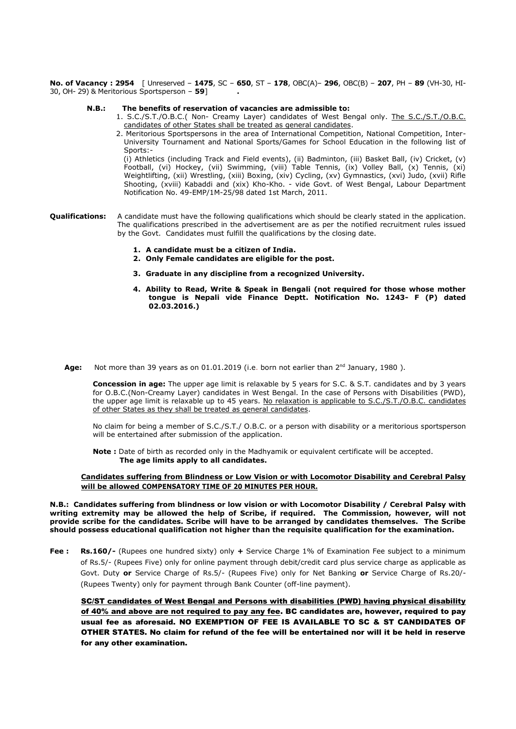**No. of Vacancy : 2954** [ Unreserved – **1475**, SC – **650**, ST – **178**, OBC(A)– **296**, OBC(B) – **207**, PH – **89** (VH-30, HI-30, OH- 29) & Meritorious Sportsperson – **59**] **.**

#### **N.B.: The benefits of reservation of vacancies are admissible to:**

- 1. S.C./S.T./O.B.C.( Non- Creamy Layer) candidates of West Bengal only. The S.C./S.T./O.B.C. candidates of other States shall be treated as general candidates.
- 2. Meritorious Sportspersons in the area of International Competition, National Competition, Inter-University Tournament and National Sports/Games for School Education in the following list of Sports:-

(i) Athletics (including Track and Field events), (ii) Badminton, (iii) Basket Ball, (iv) Cricket, (v) Football, (vi) Hockey, (vii) Swimming, (viii) Table Tennis, (ix) Volley Ball, (x) Tennis, (xi) Weightlifting, (xii) Wrestling, (xiii) Boxing, (xiv) Cycling, (xv) Gymnastics, (xvi) Judo, (xvii) Rifle Shooting, (xviii) Kabaddi and (xix) Kho-Kho. - vide Govt. of West Bengal, Labour Department Notification No. 49-EMP/1M-25/98 dated 1st March, 2011.

- **Qualifications:** A candidate must have the following qualifications which should be clearly stated in the application. The qualifications prescribed in the advertisement are as per the notified recruitment rules issued by the Govt. Candidates must fulfill the qualifications by the closing date.
	- **1. A candidate must be a citizen of India.**
	- **2. Only Female candidates are eligible for the post.**
	- **3. Graduate in any discipline from a recognized University.**
	- **4. Ability to Read, Write & Speak in Bengali (not required for those whose mother tongue is Nepali vide Finance Deptt. Notification No. 1243- F (P) dated 02.03.2016.)**
- **Age:** Not more than 39 years as on 01.01.2019 (i.e. born not earlier than 2<sup>nd</sup> January, 1980).

**Concession in age:** The upper age limit is relaxable by 5 years for S.C. & S.T. candidates and by 3 years for O.B.C.(Non-Creamy Layer) candidates in West Bengal. In the case of Persons with Disabilities (PWD), the upper age limit is relaxable up to 45 years. No relaxation is applicable to S.C./S.T./O.B.C. candidates of other States as they shall be treated as general candidates.

No claim for being a member of S.C./S.T./ O.B.C. or a person with disability or a meritorious sportsperson will be entertained after submission of the application.

**Note :** Date of birth as recorded only in the Madhyamik or equivalent certificate will be accepted. **The age limits apply to all candidates.**

#### **Candidates suffering from Blindness or Low Vision or with Locomotor Disability and Cerebral Palsy will be allowed COMPENSATORY TIME OF 20 MINUTES PER HOUR.**

#### **N.B.: Candidates suffering from blindness or low vision or with Locomotor Disability / Cerebral Palsy with writing extremity may be allowed the help of Scribe, if required. The Commission, however, will not provide scribe for the candidates. Scribe will have to be arranged by candidates themselves. The Scribe should possess educational qualification not higher than the requisite qualification for the examination.**

**Fee : Rs.160/-** (Rupees one hundred sixty) only **+** Service Charge 1% of Examination Fee subject to a minimum of Rs.5/- (Rupees Five) only for online payment through debit/credit card plus service charge as applicable as Govt. Duty **or** Service Charge of Rs.5/- (Rupees Five) only for Net Banking **or** Service Charge of Rs.20/- (Rupees Twenty) only for payment through Bank Counter (off-line payment).

SC/ST candidates of West Bengal and Persons with disabilities (PWD) having physical disability of 40% and above are not required to pay any fee. BC candidates are, however, required to pay usual fee as aforesaid. NO EXEMPTION OF FEE IS AVAILABLE TO SC & ST CANDIDATES OF OTHER STATES. No claim for refund of the fee will be entertained nor will it be held in reserve for any other examination.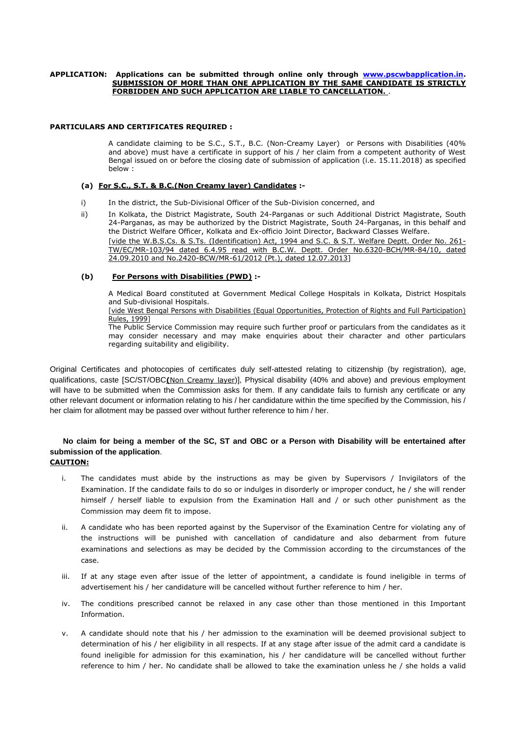#### **APPLICATION: Applications can be submitted through online only through [www.pscwbapplication.in.](http://www.pscwbapplication.in/) SUBMISSION OF MORE THAN ONE APPLICATION BY THE SAME CANDIDATE IS STRICTLY FORBIDDEN AND SUCH APPLICATION ARE LIABLE TO CANCELLATION.** .

#### **PARTICULARS AND CERTIFICATES REQUIRED :**

A candidate claiming to be S.C., S.T., B.C. (Non-Creamy Layer) or Persons with Disabilities (40% and above) must have a certificate in support of his / her claim from a competent authority of West Bengal issued on or before the closing date of submission of application (i.e. 15.11.2018) as specified below :

#### **(a) For S.C., S.T. & B.C.(Non Creamy layer) Candidates :-**

- i) In the district, the Sub-Divisional Officer of the Sub-Division concerned, and
- ii) In Kolkata, the District Magistrate, South 24-Parganas or such Additional District Magistrate, South 24-Parganas, as may be authorized by the District Magistrate, South 24-Parganas, in this behalf and the District Welfare Officer, Kolkata and Ex-officio Joint Director, Backward Classes Welfare. [vide the W.B.S.Cs. & S.Ts. (Identification) Act, 1994 and S.C. & S.T. Welfare Deptt. Order No. 261- TW/EC/MR-103/94 dated 6.4.95 read with B.C.W. Deptt. Order No.6320-BCH/MR-84/10, dated 24.09.2010 and No.2420-BCW/MR-61/2012 (Pt.), dated 12.07.2013]

#### **(b) For Persons with Disabilities (PWD) :-**

A Medical Board constituted at Government Medical College Hospitals in Kolkata, District Hospitals and Sub-divisional Hospitals.

[vide West Bengal Persons with Disabilities (Equal Opportunities, Protection of Rights and Full Participation) Rules, 1999]

The Public Service Commission may require such further proof or particulars from the candidates as it may consider necessary and may make enquiries about their character and other particulars regarding suitability and eligibility.

Original Certificates and photocopies of certificates duly self-attested relating to citizenship (by registration), age, qualifications, caste [SC/ST/OBC**(**Non Creamy layer)], Physical disability (40% and above) and previous employment will have to be submitted when the Commission asks for them. If any candidate fails to furnish any certificate or any other relevant document or information relating to his / her candidature within the time specified by the Commission, his / her claim for allotment may be passed over without further reference to him / her.

## **No claim for being a member of the SC, ST and OBC or a Person with Disability will be entertained after submission of the application**.

#### **CAUTION:**

- i. The candidates must abide by the instructions as may be given by Supervisors / Invigilators of the Examination. If the candidate fails to do so or indulges in disorderly or improper conduct, he / she will render himself / herself liable to expulsion from the Examination Hall and / or such other punishment as the Commission may deem fit to impose.
- ii. A candidate who has been reported against by the Supervisor of the Examination Centre for violating any of the instructions will be punished with cancellation of candidature and also debarment from future examinations and selections as may be decided by the Commission according to the circumstances of the case.
- iii. If at any stage even after issue of the letter of appointment, a candidate is found ineligible in terms of advertisement his / her candidature will be cancelled without further reference to him / her.
- iv. The conditions prescribed cannot be relaxed in any case other than those mentioned in this Important Information.
- v. A candidate should note that his / her admission to the examination will be deemed provisional subject to determination of his / her eligibility in all respects. If at any stage after issue of the admit card a candidate is found ineligible for admission for this examination, his / her candidature will be cancelled without further reference to him / her. No candidate shall be allowed to take the examination unless he / she holds a valid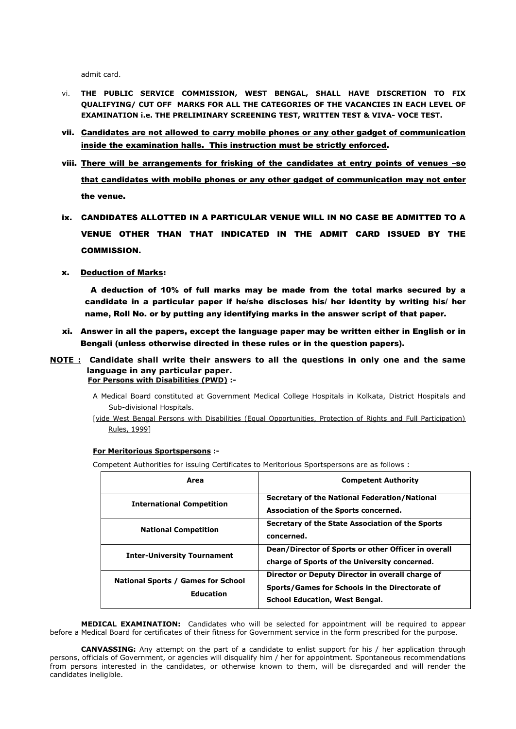admit card.

- vi. **THE PUBLIC SERVICE COMMISSION, WEST BENGAL, SHALL HAVE DISCRETION TO FIX QUALIFYING/ CUT OFF MARKS FOR ALL THE CATEGORIES OF THE VACANCIES IN EACH LEVEL OF EXAMINATION i.e. THE PRELIMINARY SCREENING TEST, WRITTEN TEST & VIVA- VOCE TEST.**
- vii. Candidates are not allowed to carry mobile phones or any other gadget of communication inside the examination halls. This instruction must be strictly enforced.
- viii. There will be arrangements for frisking of the candidates at entry points of venues –so that candidates with mobile phones or any other gadget of communication may not enter the venue.
- ix. CANDIDATES ALLOTTED IN A PARTICULAR VENUE WILL IN NO CASE BE ADMITTED TO A VENUE OTHER THAN THAT INDICATED IN THE ADMIT CARD ISSUED BY THE COMMISSION.
- x. Deduction of Marks:

 A deduction of 10% of full marks may be made from the total marks secured by a candidate in a particular paper if he/she discloses his/ her identity by writing his/ her name, Roll No. or by putting any identifying marks in the answer script of that paper.

- xi. Answer in all the papers, except the language paper may be written either in English or in Bengali (unless otherwise directed in these rules or in the question papers).
- **NOTE : Candidate shall write their answers to all the questions in only one and the same language in any particular paper. For Persons with Disabilities (PWD) :-**
	- A Medical Board constituted at Government Medical College Hospitals in Kolkata, District Hospitals and Sub-divisional Hospitals.
	- [vide West Bengal Persons with Disabilities (Equal Opportunities, Protection of Rights and Full Participation) Rules, 1999]

#### **For Meritorious Sportspersons :-**

Competent Authorities for issuing Certificates to Meritorious Sportspersons are as follows :

| Area                                                          | <b>Competent Authority</b>                                                                                                                  |
|---------------------------------------------------------------|---------------------------------------------------------------------------------------------------------------------------------------------|
| <b>International Competition</b>                              | Secretary of the National Federation/National<br>Association of the Sports concerned.                                                       |
| <b>National Competition</b>                                   | Secretary of the State Association of the Sports<br>concerned.                                                                              |
| <b>Inter-University Tournament</b>                            | Dean/Director of Sports or other Officer in overall<br>charge of Sports of the University concerned.                                        |
| <b>National Sports / Games for School</b><br><b>Education</b> | Director or Deputy Director in overall charge of<br>Sports/Games for Schools in the Directorate of<br><b>School Education, West Bengal.</b> |

**MEDICAL EXAMINATION:** Candidates who will be selected for appointment will be required to appear before a Medical Board for certificates of their fitness for Government service in the form prescribed for the purpose.

**CANVASSING:** Any attempt on the part of a candidate to enlist support for his / her application through persons, officials of Government, or agencies will disqualify him / her for appointment. Spontaneous recommendations from persons interested in the candidates, or otherwise known to them, will be disregarded and will render the candidates ineligible.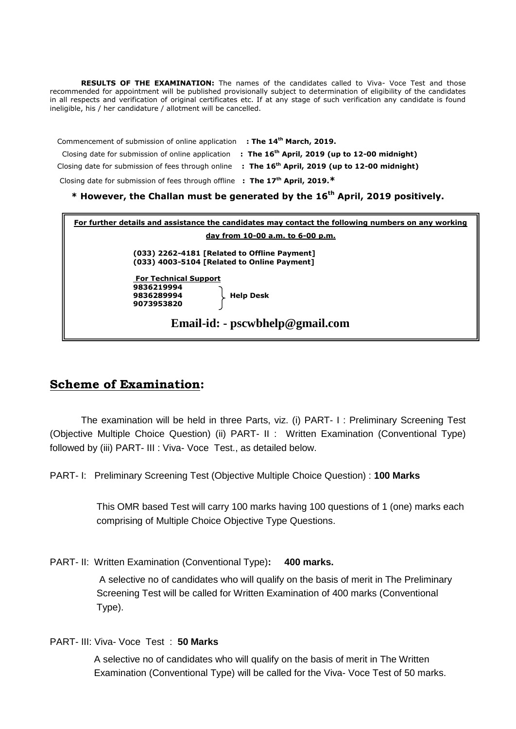RESULTS OF THE EXAMINATION: The names of the candidates called to Viva- Voce Test and those recommended for appointment will be published provisionally subject to determination of eligibility of the candidates in all respects and verification of original certificates etc. If at any stage of such verification any candidate is found ineligible, his / her candidature / allotment will be cancelled.

 Commencement of submission of online application **: The 14th March, 2019.** Closing date for submission of online application **: The 16th April, 2019 (up to 12-00 midnight)** Closing date for submission of fees through online **: The 16th April, 2019 (up to 12-00 midnight)** Closing date for submission of fees through offline **: The 17th April, 2019.\***

### **\* However, the Challan must be generated by the 16th April, 2019 positively.**

| For further details and assistance the candidates may contact the following numbers on any working |  |
|----------------------------------------------------------------------------------------------------|--|
| day from 10-00 a.m. to 6-00 p.m.                                                                   |  |
| (033) 2262-4181 [Related to Offline Payment]<br>(033) 4003-5104 [Related to Online Payment]        |  |
| <b>For Technical Support</b><br>9836219994<br><b>Help Desk</b><br>9836289994<br>9073953820         |  |
| Email-id: - pscwbhelp@gmail.com                                                                    |  |

# **Scheme of Examination:**

The examination will be held in three Parts, viz. (i) PART- I : Preliminary Screening Test (Objective Multiple Choice Question) (ii) PART- II : Written Examination (Conventional Type) followed by (iii) PART- III : Viva- Voce Test., as detailed below.

PART- I: Preliminary Screening Test (Objective Multiple Choice Question) : **100 Marks**

This OMR based Test will carry 100 marks having 100 questions of 1 (one) marks each comprising of Multiple Choice Objective Type Questions.

PART- II: Written Examination (Conventional Type)**: 400 marks.**

A selective no of candidates who will qualify on the basis of merit in The Preliminary Screening Test will be called for Written Examination of 400 marks (Conventional Type).

PART- III: Viva- Voce Test : **50 Marks**

A selective no of candidates who will qualify on the basis of merit in The Written Examination (Conventional Type) will be called for the Viva- Voce Test of 50 marks.